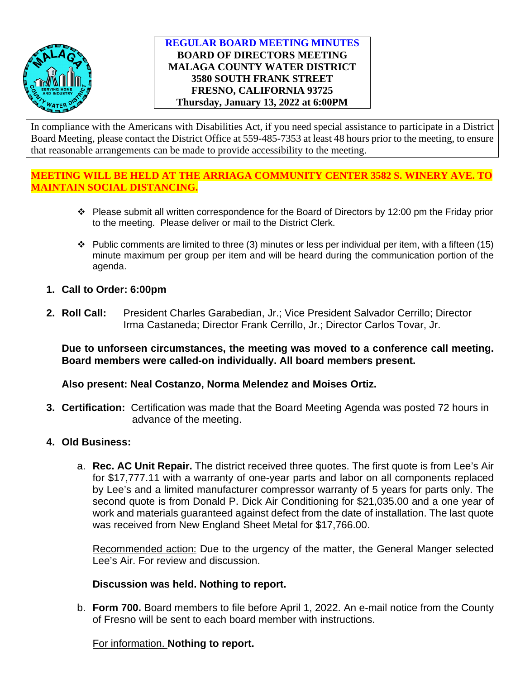

## **REGULAR BOARD MEETING MINUTES BOARD OF DIRECTORS MEETING MALAGA COUNTY WATER DISTRICT 3580 SOUTH FRANK STREET FRESNO, CALIFORNIA 93725 Thursday, January 13, 2022 at 6:00PM**

In compliance with the Americans with Disabilities Act, if you need special assistance to participate in a District Board Meeting, please contact the District Office at 559-485-7353 at least 48 hours prior to the meeting, to ensure that reasonable arrangements can be made to provide accessibility to the meeting.

# **MEETING WILL BE HELD AT THE ARRIAGA COMMUNITY CENTER 3582 S. WINERY AVE. TO MAINTAIN SOCIAL DISTANCING.**

- Please submit all written correspondence for the Board of Directors by 12:00 pm the Friday prior to the meeting. Please deliver or mail to the District Clerk.
- $\cdot \cdot$  Public comments are limited to three (3) minutes or less per individual per item, with a fifteen (15) minute maximum per group per item and will be heard during the communication portion of the agenda.
- **1. Call to Order: 6:00pm**
- **2. Roll Call:** President Charles Garabedian, Jr.; Vice President Salvador Cerrillo; Director Irma Castaneda; Director Frank Cerrillo, Jr.; Director Carlos Tovar, Jr.

**Due to unforseen circumstances, the meeting was moved to a conference call meeting. Board members were called-on individually. All board members present.** 

**Also present: Neal Costanzo, Norma Melendez and Moises Ortiz.** 

- **3. Certification:** Certification was made that the Board Meeting Agenda was posted 72 hours in advance of the meeting.
- **4. Old Business:**
	- a. **Rec. AC Unit Repair.** The district received three quotes. The first quote is from Lee's Air for \$17,777.11 with a warranty of one-year parts and labor on all components replaced by Lee's and a limited manufacturer compressor warranty of 5 years for parts only. The second quote is from Donald P. Dick Air Conditioning for \$21,035.00 and a one year of work and materials guaranteed against defect from the date of installation. The last quote was received from New England Sheet Metal for \$17,766.00.

Recommended action: Due to the urgency of the matter, the General Manger selected Lee's Air. For review and discussion.

## **Discussion was held. Nothing to report.**

b. **Form 700.** Board members to file before April 1, 2022. An e-mail notice from the County of Fresno will be sent to each board member with instructions.

For information. **Nothing to report.**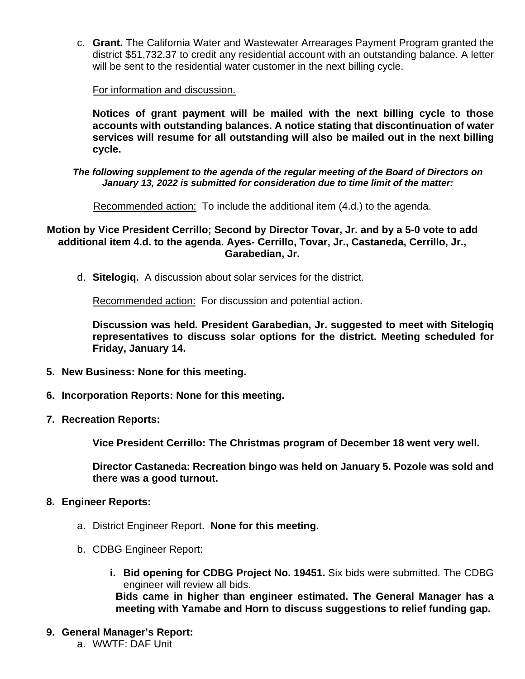c. **Grant.** The California Water and Wastewater Arrearages Payment Program granted the district \$51,732.37 to credit any residential account with an outstanding balance. A letter will be sent to the residential water customer in the next billing cycle.

For information and discussion.

**Notices of grant payment will be mailed with the next billing cycle to those accounts with outstanding balances. A notice stating that discontinuation of water services will resume for all outstanding will also be mailed out in the next billing cycle.** 

#### *The following supplement to the agenda of the regular meeting of the Board of Directors on January 13, 2022 is submitted for consideration due to time limit of the matter:*

Recommended action: To include the additional item (4.d.) to the agenda.

## **Motion by Vice President Cerrillo; Second by Director Tovar, Jr. and by a 5-0 vote to add additional item 4.d. to the agenda. Ayes- Cerrillo, Tovar, Jr., Castaneda, Cerrillo, Jr., Garabedian, Jr.**

d. **Sitelogiq.** A discussion about solar services for the district.

Recommended action: For discussion and potential action.

**Discussion was held. President Garabedian, Jr. suggested to meet with Sitelogiq representatives to discuss solar options for the district. Meeting scheduled for Friday, January 14.** 

- **5. New Business: None for this meeting.**
- **6. Incorporation Reports: None for this meeting.**
- **7. Recreation Reports:**

**Vice President Cerrillo: The Christmas program of December 18 went very well.**

**Director Castaneda: Recreation bingo was held on January 5. Pozole was sold and there was a good turnout.** 

- **8. Engineer Reports:**
	- a. District Engineer Report. **None for this meeting.**
	- b. CDBG Engineer Report:
		- **i. Bid opening for CDBG Project No. 19451.** Six bids were submitted. The CDBG engineer will review all bids. **Bids came in higher than engineer estimated. The General Manager has a meeting with Yamabe and Horn to discuss suggestions to relief funding gap.**
- **9. General Manager's Report:** a. WWTF: DAF Unit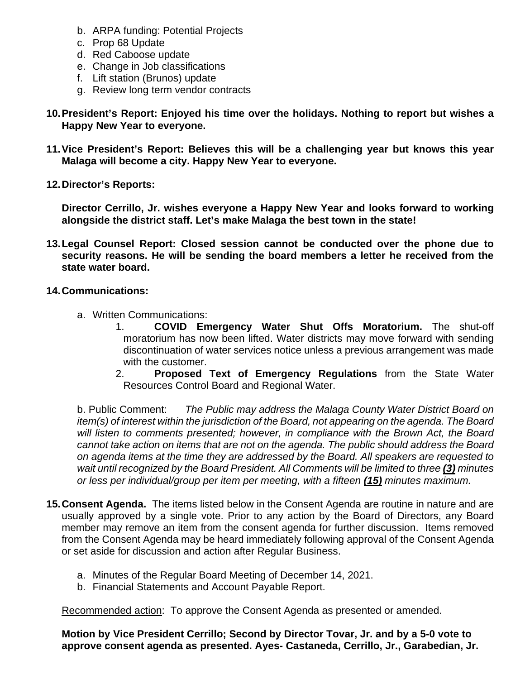- b. ARPA funding: Potential Projects
- c. Prop 68 Update
- d. Red Caboose update
- e. Change in Job classifications
- f. Lift station (Brunos) update
- g. Review long term vendor contracts
- **10.President's Report: Enjoyed his time over the holidays. Nothing to report but wishes a Happy New Year to everyone.**
- **11.Vice President's Report: Believes this will be a challenging year but knows this year Malaga will become a city. Happy New Year to everyone.**
- **12.Director's Reports:**

**Director Cerrillo, Jr. wishes everyone a Happy New Year and looks forward to working alongside the district staff. Let's make Malaga the best town in the state!**

- **13.Legal Counsel Report: Closed session cannot be conducted over the phone due to security reasons. He will be sending the board members a letter he received from the state water board.**
- **14.Communications:**
	- a. Written Communications:
		- 1. **COVID Emergency Water Shut Offs Moratorium.** The shut-off moratorium has now been lifted. Water districts may move forward with sending discontinuation of water services notice unless a previous arrangement was made with the customer.
		- 2. **Proposed Text of Emergency Regulations** from the State Water Resources Control Board and Regional Water.

b. Public Comment: *The Public may address the Malaga County Water District Board on item(s) of interest within the jurisdiction of the Board, not appearing on the agenda. The Board will listen to comments presented; however, in compliance with the Brown Act, the Board cannot take action on items that are not on the agenda. The public should address the Board on agenda items at the time they are addressed by the Board. All speakers are requested to wait until recognized by the Board President. All Comments will be limited to three (3) minutes or less per individual/group per item per meeting, with a fifteen (15) minutes maximum.*

- **15.Consent Agenda.** The items listed below in the Consent Agenda are routine in nature and are usually approved by a single vote. Prior to any action by the Board of Directors, any Board member may remove an item from the consent agenda for further discussion. Items removed from the Consent Agenda may be heard immediately following approval of the Consent Agenda or set aside for discussion and action after Regular Business.
	- a. Minutes of the Regular Board Meeting of December 14, 2021.
	- b. Financial Statements and Account Payable Report.

Recommended action: To approve the Consent Agenda as presented or amended.

**Motion by Vice President Cerrillo; Second by Director Tovar, Jr. and by a 5-0 vote to approve consent agenda as presented. Ayes- Castaneda, Cerrillo, Jr., Garabedian, Jr.**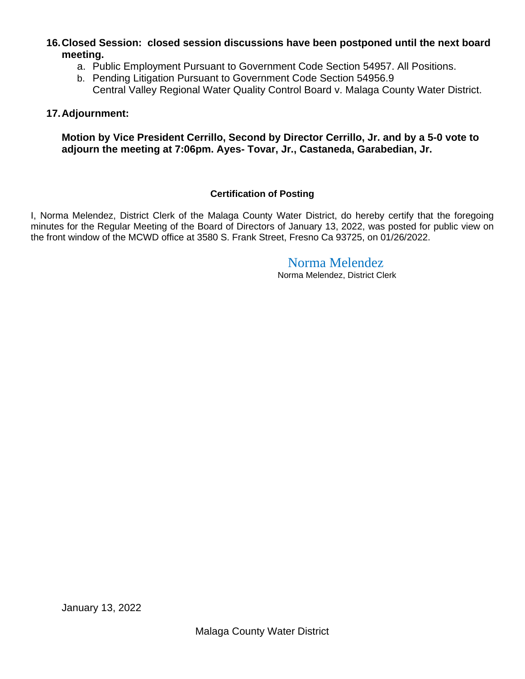# **16.Closed Session: closed session discussions have been postponed until the next board meeting.**

- a. Public Employment Pursuant to Government Code Section 54957. All Positions.
- b. Pending Litigation Pursuant to Government Code Section 54956.9 Central Valley Regional Water Quality Control Board v. Malaga County Water District.

### **17.Adjournment:**

**Motion by Vice President Cerrillo, Second by Director Cerrillo, Jr. and by a 5-0 vote to adjourn the meeting at 7:06pm. Ayes- Tovar, Jr., Castaneda, Garabedian, Jr.**

#### **Certification of Posting**

I, Norma Melendez, District Clerk of the Malaga County Water District, do hereby certify that the foregoing minutes for the Regular Meeting of the Board of Directors of January 13, 2022, was posted for public view on the front window of the MCWD office at 3580 S. Frank Street, Fresno Ca 93725, on 01/26/2022.

# Norma Melendez

Norma Melendez, District Clerk

January 13, 2022